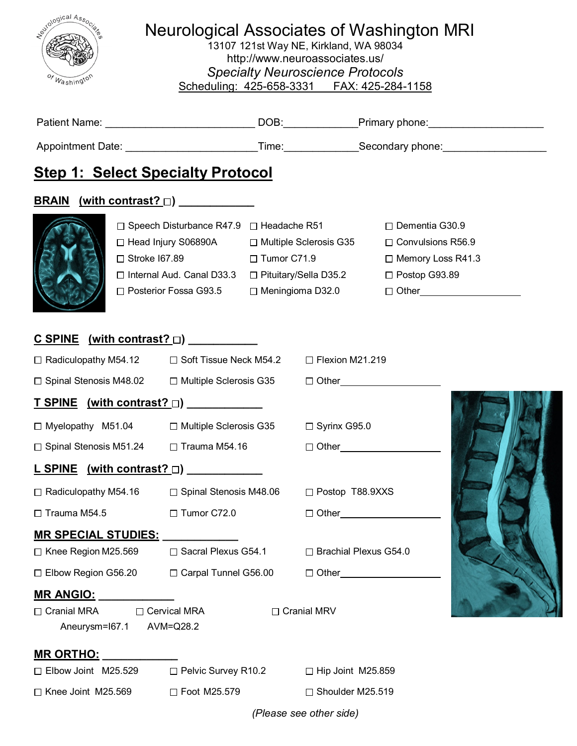| Novogical Associates<br><b>Neurological Associates of Washington MRI</b><br>13107 121st Way NE, Kirkland, WA 98034<br>http://www.neuroassociates.us/<br><b>Specialty Neuroscience Protocols</b><br>Washingtor<br>Scheduling: 425-658-3331    FAX: 425-284-1158 |                                                                                                     |  |                          |                          |  |  |  |  |
|----------------------------------------------------------------------------------------------------------------------------------------------------------------------------------------------------------------------------------------------------------------|-----------------------------------------------------------------------------------------------------|--|--------------------------|--------------------------|--|--|--|--|
|                                                                                                                                                                                                                                                                |                                                                                                     |  |                          |                          |  |  |  |  |
| Appointment Date: ____________________________Time:_______________Secondary phone:___________________________                                                                                                                                                  |                                                                                                     |  |                          |                          |  |  |  |  |
| <b>Step 1: Select Specialty Protocol</b>                                                                                                                                                                                                                       | $\Box$ Speech Disturbance R47.9 $\Box$ Headache R51                                                 |  |                          | $\Box$ Dementia G30.9    |  |  |  |  |
|                                                                                                                                                                                                                                                                | □ Head Injury S06890A □ Multiple Sclerosis G35                                                      |  |                          | $\Box$ Convulsions R56.9 |  |  |  |  |
|                                                                                                                                                                                                                                                                | $\Box$ Stroke I67.89 $\Box$ Tumor C71.9                                                             |  |                          | □ Memory Loss R41.3      |  |  |  |  |
|                                                                                                                                                                                                                                                                | □ Internal Aud. Canal D33.3 □ Pituitary/Sella D35.2<br>□ Posterior Fossa G93.5                      |  | $\Box$ Meningioma D32.0  | $\Box$ Postop G93.89     |  |  |  |  |
| $C$ SPINE (with contrast? $\Box$ )<br>$\Box$ Radiculopathy M54.12<br>$\Box$ Spinal Stenosis M48.02<br><u>T SPINE (with contrast? □)</u><br>□ Myelopathy M51.04<br>$\Box$ Spinal Stenosis M51.24                                                                | □ Soft Tissue Neck M54.2 □ Flexion M21.219<br>$\Box$ Multiple Sclerosis G35<br>$\Box$ Trauma M54.16 |  | $\Box$ Syrinx G95.0      | $\Box$ Other $\Box$      |  |  |  |  |
| $L$ SPINE (with contrast? $\Box$ ) _____________                                                                                                                                                                                                               |                                                                                                     |  |                          |                          |  |  |  |  |
| $\Box$ Radiculopathy M54.16<br>$\Box$ Spinal Stenosis M48.06                                                                                                                                                                                                   |                                                                                                     |  | □ Postop T88.9XXS        |                          |  |  |  |  |
| □ Tumor C72.0<br>$\Box$ Trauma M54.5                                                                                                                                                                                                                           |                                                                                                     |  | $\Box$ Other $\Box$      |                          |  |  |  |  |
| <b>MR SPECIAL STUDIES:</b>                                                                                                                                                                                                                                     |                                                                                                     |  |                          |                          |  |  |  |  |
| $\Box$ Knee Region M25.569                                                                                                                                                                                                                                     | □ Sacral Plexus G54.1                                                                               |  | □ Brachial Plexus G54.0  |                          |  |  |  |  |
| $\square$ Elbow Region G56.20                                                                                                                                                                                                                                  | □ Carpal Tunnel G56.00                                                                              |  |                          |                          |  |  |  |  |
| <u> MR ANGIO:</u><br>□ Cervical MRA<br>$\Box$ Cranial MRA<br>Aneurysm=167.1                                                                                                                                                                                    | AVM=Q28.2                                                                                           |  | □ Cranial MRV            |                          |  |  |  |  |
| <b>MR ORTHO:</b>                                                                                                                                                                                                                                               |                                                                                                     |  |                          |                          |  |  |  |  |
| $\Box$ Elbow Joint M25.529                                                                                                                                                                                                                                     | $\Box$ Pelvic Survey R10.2                                                                          |  | $\Box$ Hip Joint M25.859 |                          |  |  |  |  |
| $\Box$ Knee Joint M25.569                                                                                                                                                                                                                                      | □ Foot M25.579                                                                                      |  | $\Box$ Shoulder M25.519  |                          |  |  |  |  |

*(Please see other side)*